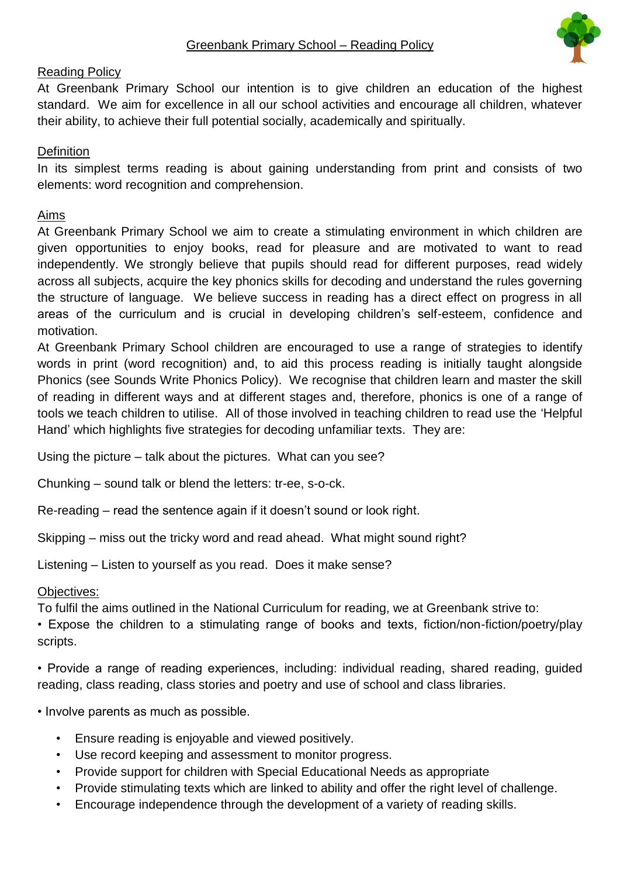

# Reading Policy

At Greenbank Primary School our intention is to give children an education of the highest standard. We aim for excellence in all our school activities and encourage all children, whatever their ability, to achieve their full potential socially, academically and spiritually.

## **Definition**

In its simplest terms reading is about gaining understanding from print and consists of two elements: word recognition and comprehension.

# Aims

At Greenbank Primary School we aim to create a stimulating environment in which children are given opportunities to enjoy books, read for pleasure and are motivated to want to read independently. We strongly believe that pupils should read for different purposes, read widely across all subjects, acquire the key phonics skills for decoding and understand the rules governing the structure of language. We believe success in reading has a direct effect on progress in all areas of the curriculum and is crucial in developing children's self-esteem, confidence and motivation.

At Greenbank Primary School children are encouraged to use a range of strategies to identify words in print (word recognition) and, to aid this process reading is initially taught alongside Phonics (see Sounds Write Phonics Policy). We recognise that children learn and master the skill of reading in different ways and at different stages and, therefore, phonics is one of a range of tools we teach children to utilise. All of those involved in teaching children to read use the 'Helpful Hand' which highlights five strategies for decoding unfamiliar texts. They are:

Using the picture – talk about the pictures. What can you see?

Chunking – sound talk or blend the letters: tr-ee, s-o-ck.

Re-reading – read the sentence again if it doesn't sound or look right.

Skipping – miss out the tricky word and read ahead. What might sound right?

Listening – Listen to yourself as you read. Does it make sense?

## Objectives:

To fulfil the aims outlined in the National Curriculum for reading, we at Greenbank strive to:

• Expose the children to a stimulating range of books and texts, fiction/non-fiction/poetry/play scripts.

• Provide a range of reading experiences, including: individual reading, shared reading, guided reading, class reading, class stories and poetry and use of school and class libraries.

• Involve parents as much as possible.

- Ensure reading is enjoyable and viewed positively.
- Use record keeping and assessment to monitor progress.
- Provide support for children with Special Educational Needs as appropriate
- Provide stimulating texts which are linked to ability and offer the right level of challenge.
- Encourage independence through the development of a variety of reading skills.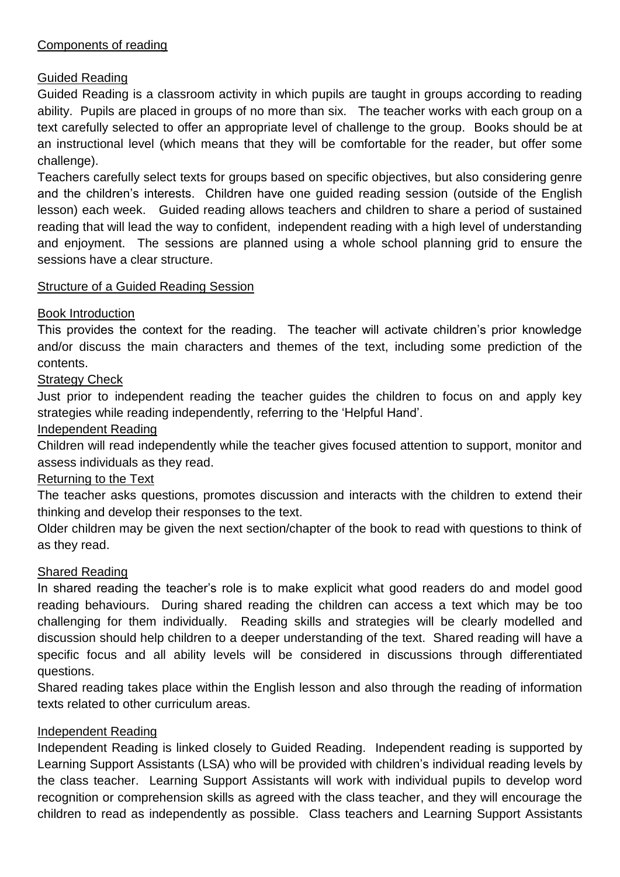# Components of reading

# Guided Reading

Guided Reading is a classroom activity in which pupils are taught in groups according to reading ability. Pupils are placed in groups of no more than six. The teacher works with each group on a text carefully selected to offer an appropriate level of challenge to the group. Books should be at an instructional level (which means that they will be comfortable for the reader, but offer some challenge).

Teachers carefully select texts for groups based on specific objectives, but also considering genre and the children's interests. Children have one guided reading session (outside of the English lesson) each week. Guided reading allows teachers and children to share a period of sustained reading that will lead the way to confident, independent reading with a high level of understanding and enjoyment. The sessions are planned using a whole school planning grid to ensure the sessions have a clear structure.

## Structure of a Guided Reading Session

## Book Introduction

This provides the context for the reading. The teacher will activate children's prior knowledge and/or discuss the main characters and themes of the text, including some prediction of the contents.

# Strategy Check

Just prior to independent reading the teacher guides the children to focus on and apply key strategies while reading independently, referring to the 'Helpful Hand'.

#### Independent Reading

Children will read independently while the teacher gives focused attention to support, monitor and assess individuals as they read.

## Returning to the Text

The teacher asks questions, promotes discussion and interacts with the children to extend their thinking and develop their responses to the text.

Older children may be given the next section/chapter of the book to read with questions to think of as they read.

## Shared Reading

In shared reading the teacher's role is to make explicit what good readers do and model good reading behaviours. During shared reading the children can access a text which may be too challenging for them individually. Reading skills and strategies will be clearly modelled and discussion should help children to a deeper understanding of the text. Shared reading will have a specific focus and all ability levels will be considered in discussions through differentiated questions.

Shared reading takes place within the English lesson and also through the reading of information texts related to other curriculum areas.

## Independent Reading

Independent Reading is linked closely to Guided Reading. Independent reading is supported by Learning Support Assistants (LSA) who will be provided with children's individual reading levels by the class teacher. Learning Support Assistants will work with individual pupils to develop word recognition or comprehension skills as agreed with the class teacher, and they will encourage the children to read as independently as possible. Class teachers and Learning Support Assistants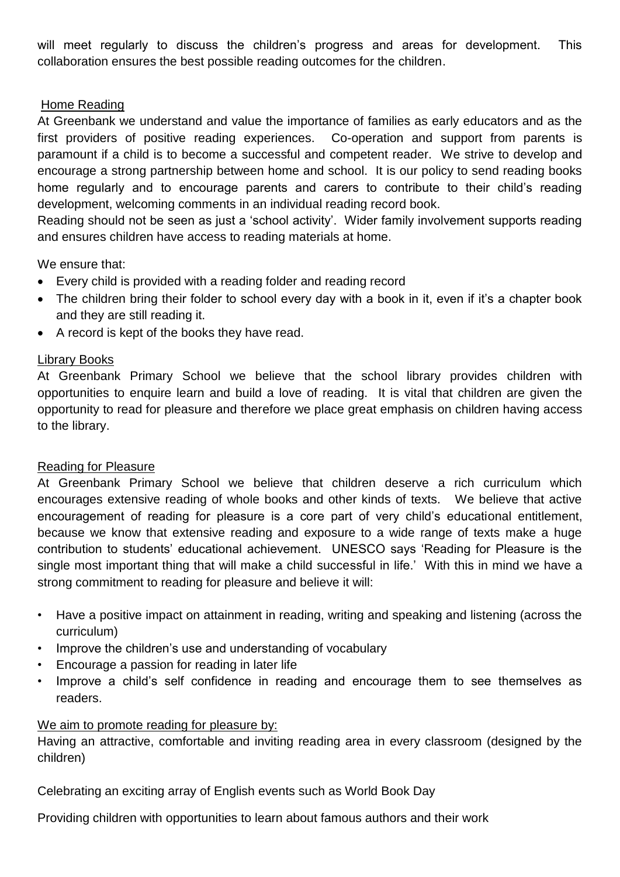will meet regularly to discuss the children's progress and areas for development. This collaboration ensures the best possible reading outcomes for the children.

# Home Reading

At Greenbank we understand and value the importance of families as early educators and as the first providers of positive reading experiences. Co-operation and support from parents is paramount if a child is to become a successful and competent reader. We strive to develop and encourage a strong partnership between home and school. It is our policy to send reading books home regularly and to encourage parents and carers to contribute to their child's reading development, welcoming comments in an individual reading record book.

Reading should not be seen as just a 'school activity'. Wider family involvement supports reading and ensures children have access to reading materials at home.

We ensure that:

- Every child is provided with a reading folder and reading record
- The children bring their folder to school every day with a book in it, even if it's a chapter book and they are still reading it.
- A record is kept of the books they have read.

## Library Books

At Greenbank Primary School we believe that the school library provides children with opportunities to enquire learn and build a love of reading. It is vital that children are given the opportunity to read for pleasure and therefore we place great emphasis on children having access to the library.

## Reading for Pleasure

At Greenbank Primary School we believe that children deserve a rich curriculum which encourages extensive reading of whole books and other kinds of texts. We believe that active encouragement of reading for pleasure is a core part of very child's educational entitlement, because we know that extensive reading and exposure to a wide range of texts make a huge contribution to students' educational achievement. UNESCO says 'Reading for Pleasure is the single most important thing that will make a child successful in life.' With this in mind we have a strong commitment to reading for pleasure and believe it will:

- Have a positive impact on attainment in reading, writing and speaking and listening (across the curriculum)
- Improve the children's use and understanding of vocabulary
- Encourage a passion for reading in later life
- Improve a child's self confidence in reading and encourage them to see themselves as readers.

## We aim to promote reading for pleasure by:

Having an attractive, comfortable and inviting reading area in every classroom (designed by the children)

Celebrating an exciting array of English events such as World Book Day

Providing children with opportunities to learn about famous authors and their work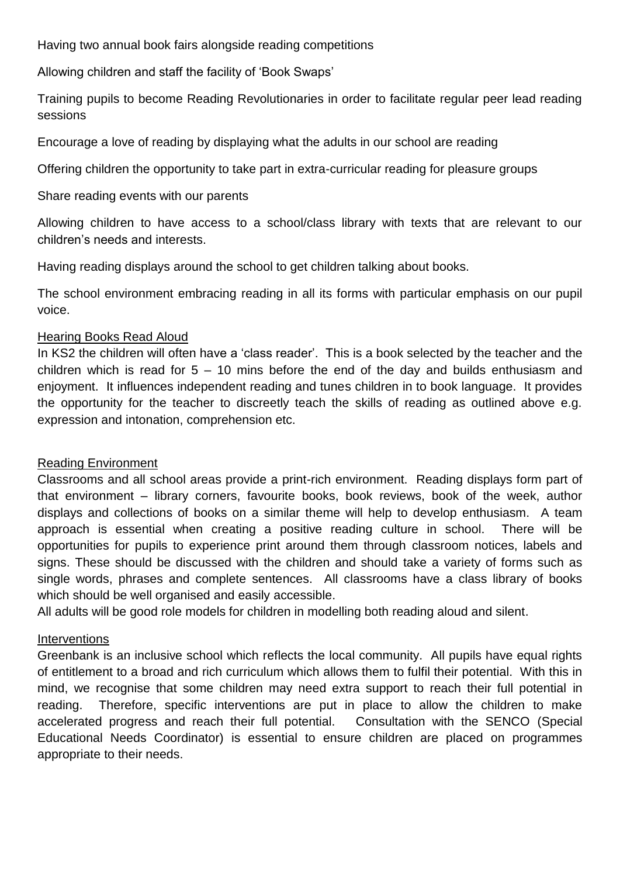Having two annual book fairs alongside reading competitions

Allowing children and staff the facility of 'Book Swaps'

Training pupils to become Reading Revolutionaries in order to facilitate regular peer lead reading sessions

Encourage a love of reading by displaying what the adults in our school are reading

Offering children the opportunity to take part in extra-curricular reading for pleasure groups

Share reading events with our parents

Allowing children to have access to a school/class library with texts that are relevant to our children's needs and interests.

Having reading displays around the school to get children talking about books.

The school environment embracing reading in all its forms with particular emphasis on our pupil voice.

#### Hearing Books Read Aloud

In KS2 the children will often have a 'class reader'. This is a book selected by the teacher and the children which is read for  $5 - 10$  mins before the end of the day and builds enthusiasm and enjoyment. It influences independent reading and tunes children in to book language. It provides the opportunity for the teacher to discreetly teach the skills of reading as outlined above e.g. expression and intonation, comprehension etc.

#### Reading Environment

Classrooms and all school areas provide a print-rich environment. Reading displays form part of that environment – library corners, favourite books, book reviews, book of the week, author displays and collections of books on a similar theme will help to develop enthusiasm. A team approach is essential when creating a positive reading culture in school. There will be opportunities for pupils to experience print around them through classroom notices, labels and signs. These should be discussed with the children and should take a variety of forms such as single words, phrases and complete sentences. All classrooms have a class library of books which should be well organised and easily accessible.

All adults will be good role models for children in modelling both reading aloud and silent.

## Interventions

Greenbank is an inclusive school which reflects the local community. All pupils have equal rights of entitlement to a broad and rich curriculum which allows them to fulfil their potential. With this in mind, we recognise that some children may need extra support to reach their full potential in reading. Therefore, specific interventions are put in place to allow the children to make accelerated progress and reach their full potential. Consultation with the SENCO (Special Educational Needs Coordinator) is essential to ensure children are placed on programmes appropriate to their needs.